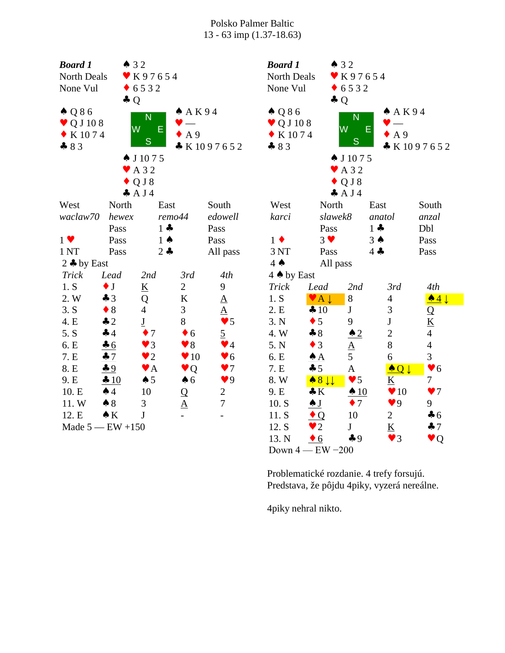| <b>Board 1</b>                | $\triangle$ 32      |                             |                         |                        | <b>Board 1</b>               |                                        | $\bullet$ 32                |                            |                          |  |
|-------------------------------|---------------------|-----------------------------|-------------------------|------------------------|------------------------------|----------------------------------------|-----------------------------|----------------------------|--------------------------|--|
| North Deals                   | ♥ K97654            |                             |                         | North Deals            | K97654                       |                                        |                             |                            |                          |  |
| None Vul                      | 6532                |                             |                         |                        | 6532<br>None Vul             |                                        |                             |                            |                          |  |
|                               | $\clubsuit Q$       |                             |                         |                        |                              |                                        | $\clubsuit Q$               |                            |                          |  |
| $\triangle$ Q 8 6             |                     | N                           | A K94                   |                        | $\triangle Q86$              |                                        | N                           | A K94                      |                          |  |
| $\blacktriangledown$ Q J 10 8 | W                   | E                           |                         |                        | $\blacktriangledown$ Q J 108 |                                        | W                           | E                          |                          |  |
| $\bullet$ K 1074              |                     |                             | A 9                     |                        | $\bullet$ K 1074             |                                        |                             | $\bullet$ A 9              |                          |  |
| $-83$                         |                     | S                           |                         | * K1097652             | 83                           |                                        | S                           |                            | K1097652                 |  |
|                               |                     | $\spadesuit$ J 1075         |                         |                        |                              |                                        | $\spadesuit$ J 1075         |                            |                          |  |
|                               |                     | $\blacktriangleright$ A 3 2 |                         |                        |                              |                                        | $\blacktriangleright$ A 3 2 |                            |                          |  |
|                               |                     | $\blacklozenge$ Q J 8       |                         |                        |                              |                                        | $\bullet$ Q J 8             |                            |                          |  |
|                               |                     | A J4                        |                         |                        |                              |                                        | A J4                        |                            |                          |  |
| West                          | North               | East                        |                         | South                  | West                         | North                                  |                             | East                       | South                    |  |
| waclaw70                      | hewex               | remo44                      |                         | edowell                | karci                        | slawek8                                |                             | anatol                     | anzal                    |  |
|                               | Pass                | $1 -$                       |                         | Pass                   |                              | Pass                                   |                             | $1 -$                      | Dbl                      |  |
| $1 \vee$                      | Pass                | $1 \spadesuit$              |                         | Pass                   | $1 \bullet$                  | $3 \vee$                               |                             | $3 \spadesuit$             | Pass                     |  |
| 1 <sub>NT</sub>               | Pass                | $2 -$                       |                         | All pass               | 3 NT                         | Pass                                   |                             | $4 -$                      | Pass                     |  |
| 2 $\clubsuit$ by East         |                     |                             |                         |                        | $4 \spadesuit$               | All pass                               |                             |                            |                          |  |
| <b>Trick</b>                  | Lead                | 2nd                         | 3rd                     | 4th                    | 4 A by East                  |                                        |                             |                            |                          |  |
| 1. S                          | $\bullet$ J         | $\underline{\mathbf{K}}$    | $\overline{2}$          | 9                      | <b>Trick</b>                 | Lead                                   | 2nd                         | 3rd                        | 4th                      |  |
| 2. W                          | $\clubsuit$ 3       | Q                           | $\bf K$                 | $\underline{A}$        | 1. S                         | $A \downarrow$<br>$\blacktriangledown$ | 8                           | $\overline{\mathcal{A}}$   | $\triangle 4$            |  |
| 3. S                          | $\bullet$ 8         | $\overline{4}$              | $\mathfrak{Z}$          | $\underline{A}$        | 2. E                         | 410                                    | $\bf J$                     | 3                          | Q                        |  |
| 4. E                          | $\clubsuit$ 2       | $\underline{\mathbf{J}}$    | $8\,$                   | $\blacktriangledown$ 5 | 3. N                         | $\bullet$ 5                            | 9                           | ${\bf J}$                  | $\underline{\mathbf{K}}$ |  |
| 5. S                          | 44                  | $\bullet$ 7                 | $\bullet$ 6             | $\overline{2}$         | 4. W                         | $-8$                                   | $\triangle 2$               | $\overline{c}$             | $\overline{4}$           |  |
| 6. E                          | 46                  | $\vee$ 3                    | $\bullet$ 8             | $\blacktriangledown$ 4 | 5. N                         | $\bullet$ 3                            | $rac{A}{5}$                 | 8                          | $\overline{4}$           |  |
| 7. E                          | 47                  | $\bullet$ 2                 | $\blacktriangledown 10$ | $\blacktriangledown 6$ | 6. E                         | $\triangle A$                          |                             | $\boldsymbol{6}$           | 3                        |  |
| 8. E                          | 49                  | $\blacktriangledown$ A      | $\bullet$ Q             | $\blacktriangledown$   | 7. E                         | $\clubsuit$ 5                          | $\mathbf{A}$                | $\triangle$ Q $\downarrow$ | $\blacktriangledown 6$   |  |
| 9. E                          | 4 10                | $\spadesuit$ 5              | $\spadesuit$ 6          | $\blacktriangledown$ 9 | 8. W                         | $\bullet 8 \downarrow \downarrow$      | $\blacktriangledown$ 5      | $\underline{\mathbf{K}}$   | $\overline{7}$           |  |
| 10. E                         | $\spadesuit$ 4      | 10                          | $\mathbf Q$             | $\overline{c}$         | 9. E                         | $\clubsuit K$                          | $\triangle$ 10              | $\blacktriangledown 10$    | $\blacktriangledown$     |  |
| 11.W                          | $\clubsuit 8$       | 3                           | $\underline{A}$         | $\overline{7}$         | 10. S                        | $\frac{1}{\sqrt{2}}$                   | $\bullet$ 7                 | $\blacktriangledown 9$     | 9                        |  |
| 12. E                         | $\bullet K$         | $\mathbf{J}$                | $\overline{a}$          |                        | 11. S                        | $\bullet$ Q                            | 10                          | $\overline{2}$             | $\clubsuit$ 6            |  |
|                               | Made $5 - EW + 150$ |                             |                         |                        | 12. S                        | $\bullet$ 2                            | J                           | $\underline{\mathbf{K}}$   | $\clubsuit$ 7            |  |
|                               |                     |                             |                         |                        | 13. N                        | $\bullet$ 6                            | $\clubsuit$ 9               | $\blacktriangledown$ 3     | $\bullet$ Q              |  |

Down 4 — EW −200

Problematické rozdanie. 4 trefy forsujú. Predstava, že pôjdu 4piky, vyzerá nereálne.

4piky nehral nikto.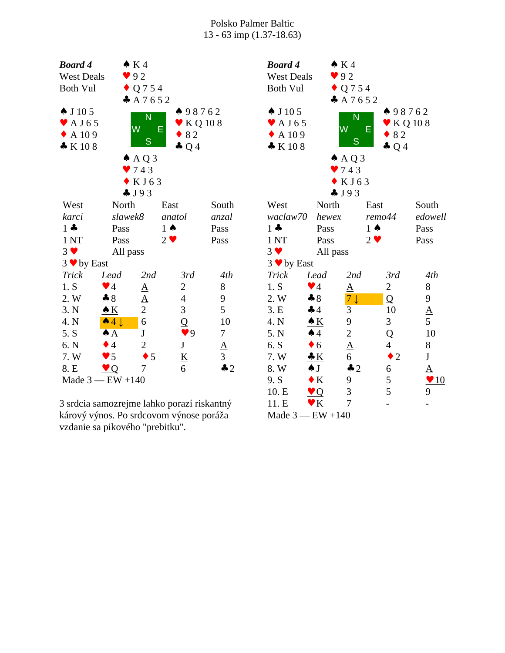| <b>Board 4</b>                                                     |                          | $\bullet K4$                           |                                      |                              | <b>Board 4</b>                                                                 |                        |
|--------------------------------------------------------------------|--------------------------|----------------------------------------|--------------------------------------|------------------------------|--------------------------------------------------------------------------------|------------------------|
| <b>West Deals</b>                                                  |                          | 92                                     |                                      |                              | <b>West Deals</b>                                                              |                        |
| <b>Both Vul</b>                                                    |                          | $\bullet$ Q 7 5 4                      |                                      |                              | <b>Both Vul</b>                                                                |                        |
| $\spadesuit$ J 10 5<br>$\blacktriangleright$ AJ65<br>A 109<br>K108 |                          | A 7652<br>N<br>W<br>S<br>$A \land Q$ 3 | 498762<br>E<br>82<br>$\clubsuit$ Q 4 | $\blacktriangleright$ KQ 108 | $\spadesuit$ J 10 5<br>$\blacktriangleright$ AJ65<br>$\triangle$ A 109<br>K108 | 4                      |
|                                                                    |                          | 9743                                   |                                      |                              |                                                                                |                        |
|                                                                    |                          | $\bullet$ KJ63                         |                                      |                              |                                                                                |                        |
|                                                                    |                          | J93                                    |                                      |                              |                                                                                |                        |
| West                                                               | North                    |                                        | East                                 | South                        | West                                                                           | Nortl                  |
| karci                                                              | slawek8                  |                                        | anatol                               | anzal                        | waclaw70                                                                       | hewe                   |
| $1 -$                                                              | Pass                     |                                        | $1 \spadesuit$                       | Pass                         | $1 -$                                                                          | Pass                   |
| 1 <sub>NT</sub>                                                    | Pass                     |                                        | $2 \vee$                             | Pass                         | 1 <sub>NT</sub>                                                                | Pass                   |
| $3 \vee$                                                           | All pass                 |                                        |                                      |                              | $3 \vee$                                                                       | All p                  |
| $3 \vee$ by East                                                   |                          |                                        |                                      |                              | $3 \vee$ by East                                                               |                        |
| Trick                                                              | Lead                     | 2nd                                    | 3rd                                  | 4th                          | Trick                                                                          | Lead                   |
| 1. S                                                               | $\blacktriangledown$ 4   | $\underline{A}$                        | $\mathbf{2}$                         | 8                            | 1. S                                                                           | $\blacktriangledown$ 4 |
| 2. W                                                               | $*8$                     | $\underline{A}$                        | $\overline{4}$                       | 9                            | 2. W                                                                           | $\clubsuit 8$          |
| 3. N                                                               | $\triangle K$            | $\overline{2}$                         | 3                                    | 5                            | 3.E                                                                            | $\clubsuit$ 4          |
| 4. N                                                               | $\triangle 4 \downarrow$ | 6                                      | Q                                    | 10                           | 4. N                                                                           | $\triangle K$          |
| 5. S                                                               | $\spadesuit$ $\uparrow$  | $\mathbf{J}$                           | $\frac{9}{5}$                        | $\tau$                       | 5. N                                                                           | $\clubsuit$ 4          |
| 6. N                                                               | $\bullet$ 4              | $\overline{2}$                         |                                      | $\underline{A}$              | 6. S                                                                           | $\bullet$ 6            |
| 7. W                                                               | $\bullet$ 5              | 5                                      | $\frac{K}{6}$                        | $\overline{3}$               | 7. W                                                                           | $\cdot K$              |
| 8. E                                                               | Q                        | 7                                      |                                      | $\clubsuit$ 2                | 8. W                                                                           | $\clubsuit$ J          |
| Made $3$ - EW +140                                                 |                          |                                        |                                      |                              | 9. S                                                                           | $\bullet K$            |

3 srdcia samozrejme lahko porazí riskantný kárový výnos. Po srdcovom výnose poráža vzdanie sa pikového "prebitku".

| <b>Board 4</b>             |                         | $\bullet K4$          |                |                 |                       |  |
|----------------------------|-------------------------|-----------------------|----------------|-----------------|-----------------------|--|
| <b>West Deals</b>          | 92                      |                       |                |                 |                       |  |
| <b>Both Vul</b>            |                         | $\bullet$ Q 7 5 4     |                |                 |                       |  |
|                            |                         | A7652                 |                |                 |                       |  |
| $\spadesuit$ J 10 5        |                         |                       |                | 98762           |                       |  |
| $\blacktriangleright$ AJ65 |                         | N                     |                | KQ 108          |                       |  |
| $\triangle$ A 109          |                         | W                     | E              | 82              |                       |  |
| K108                       |                         | S                     |                | $\clubsuit$ Q 4 |                       |  |
|                            |                         | $A \land Q$ 3         |                |                 |                       |  |
|                            |                         | $\bullet$ 743         |                |                 |                       |  |
|                            |                         | KJ63                  |                |                 |                       |  |
|                            |                         | J93                   |                |                 |                       |  |
| West                       | North                   |                       | East           |                 | South                 |  |
| waclaw70                   | hewex                   |                       | remo44         |                 | edowell               |  |
| $1 -$                      | Pass                    |                       | $1 \spadesuit$ |                 | Pass                  |  |
| 1 <sub>NT</sub>            | Pass                    |                       | $2 \bullet$    |                 | Pass                  |  |
| $3 \vee$                   | All pass                |                       |                |                 |                       |  |
| $3 \vee$ by East           |                         |                       |                |                 |                       |  |
| Trick                      | Lead                    | 2nd                   |                | 3rd             | 4th                   |  |
| 1. S                       | $\blacktriangledown$ 4  | ${\underline{\rm A}}$ | 2              |                 | 8                     |  |
| 2. W                       | $\clubsuit 8$           | $7\downarrow$         | Q              |                 | 9                     |  |
| 3.E                        | 44                      | 3                     | 10             |                 | $\underline{A}$       |  |
| 4. N                       | $\triangle K$           | 9                     | 3              |                 | 5                     |  |
| 5. N                       | $\spadesuit$ 4          | $\overline{c}$        | Q              |                 | 10                    |  |
| 6. S                       | $\bullet$ 6             | $\underline{A}$       | $\overline{4}$ |                 | 8                     |  |
| 7. W                       | $\bullet K$             | 6                     |                | $\bullet$ 2     | $\bf J$               |  |
| 8. W                       | $\spadesuit$ J          | $\clubsuit$ 2         | 6              |                 | ${\underline{\rm A}}$ |  |
| 9. S                       | $\bullet K$             | 9                     | 5              |                 | 10                    |  |
| 10. E                      | $\overline{\mathrm{Q}}$ | 3                     | 5              |                 | 9                     |  |
| 11. E                      | $\mathbf{v}$ K          | 7                     |                |                 |                       |  |
| Made $3$ - EW +140         |                         |                       |                |                 |                       |  |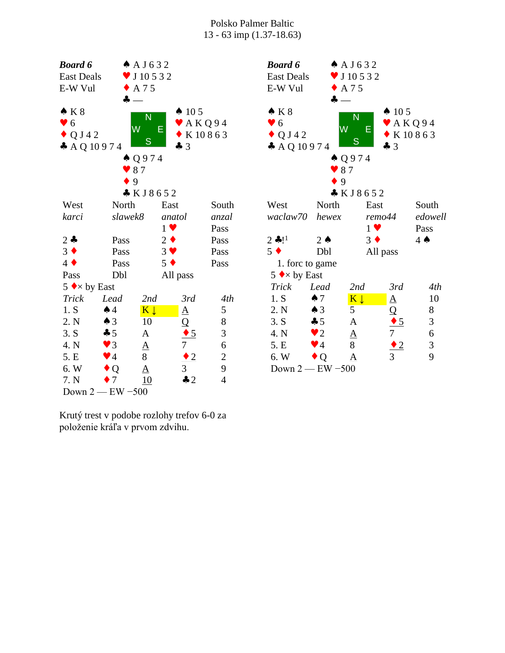| <b>Board 6</b>              |                        | A J 6 3 2            |             |                       |                             | I                  |
|-----------------------------|------------------------|----------------------|-------------|-----------------------|-----------------------------|--------------------|
| <b>East Deals</b>           |                        | $\bullet$ J 10 5 3 2 |             |                       |                             | I                  |
| E-W Vul                     |                        | $\triangle$ A 75     |             |                       |                             | I                  |
|                             | ♣                      |                      |             |                       |                             |                    |
| $\bullet K8$                |                        | N                    |             | $\spadesuit$ 105      |                             |                    |
| $\bullet$ 6                 |                        | W                    |             |                       | $\blacktriangleright$ AKQ94 |                    |
| $\triangle Q$ J42           |                        |                      | Е           |                       | $\bullet$ K 10863           |                    |
| $A$ AQ 10974                |                        | S                    |             | $\clubsuit$ 3         |                             |                    |
|                             |                        | $\triangle Q974$     |             |                       |                             |                    |
|                             | $\bullet$ 87           |                      |             |                       |                             |                    |
|                             | $\bullet$ 9            |                      |             |                       |                             |                    |
|                             |                        | * KJ8652             |             |                       |                             |                    |
| West                        | North                  |                      | East        |                       | South                       | Ī                  |
| karci                       | slawek8                |                      | anatol      |                       | anzal                       | $\boldsymbol{\nu}$ |
|                             |                        |                      | $1 \vee$    |                       | Pass                        |                    |
| $2 -$                       | Pass                   |                      | $2 \bullet$ |                       | Pass                        | $\tilde{z}$        |
| $3 \bullet$                 | Pass                   |                      | $3 \vee$    |                       | Pass                        | $\overline{z}$     |
| $4 \bullet$                 | Pass                   |                      | $5 \bullet$ |                       | Pass                        |                    |
| Pass                        | Dbl                    |                      | All pass    |                       |                             |                    |
| 5 $\leftrightarrow$ by East |                        |                      |             |                       |                             |                    |
| <b>Trick</b>                | Lead                   | 2nd                  |             | 3rd                   | 4th                         |                    |
| 1. S                        | $\spadesuit$ 4         | $K \downarrow$       |             | $\underline{A}$       | 5                           |                    |
| 2. N                        | $\triangle$ 3          | 10                   |             | $\frac{Q}{\bullet 5}$ | 8                           |                    |
| 3. S                        | $\clubsuit 5$          | A                    |             |                       | 3                           |                    |
| 4. N                        | $\blacktriangledown$ 3 | $\underline{A}$      |             | $\overline{7}$        | 6                           |                    |
| 5. E                        | $\blacktriangledown$ 4 | 8                    |             | $\bullet$ 2           | $\overline{c}$              |                    |
| 6. W                        | $\bullet$ Q            | $\Delta$             |             | $\overline{3}$        | 9                           |                    |
| 7. N                        | $\bullet$ 7            | 10                   |             | $\clubsuit$ 2         | $\overline{4}$              |                    |
|                             | Down $2$ - EW $-500$   |                      |             |                       |                             |                    |
|                             |                        |                      |             |                       |                             |                    |

Krutý trest v podobe rozlohy trefov 6-0 za položenie kráľa v prvom zdvihu.

| <b>Board 6</b>              |                        | A J 6 3 2                  |                             |                  |  |  |  |  |
|-----------------------------|------------------------|----------------------------|-----------------------------|------------------|--|--|--|--|
| <b>East Deals</b>           |                        | $\triangledown$ J 10 5 3 2 |                             |                  |  |  |  |  |
| E-W Vul                     |                        | $\triangle$ A 7 5          |                             |                  |  |  |  |  |
|                             | $\clubsuit$ $-$        |                            |                             |                  |  |  |  |  |
| $\bullet K8$                |                        | N                          | $\spadesuit$ 105            |                  |  |  |  |  |
| $\bullet$ 6                 |                        |                            | $\blacktriangleright$ AKQ94 |                  |  |  |  |  |
| $\bullet$ Q J 4 2           | W                      | Е                          | $\bullet$ K 10863           |                  |  |  |  |  |
| $A$ AQ 10974                |                        | S                          | $\clubsuit$ 3               |                  |  |  |  |  |
|                             |                        | Q974                       |                             |                  |  |  |  |  |
|                             | $\bullet$ 87           |                            |                             |                  |  |  |  |  |
|                             | $\bullet$ 9            |                            |                             |                  |  |  |  |  |
| KJ8652                      |                        |                            |                             |                  |  |  |  |  |
| West                        | North                  | East                       |                             | South            |  |  |  |  |
| waclaw70 hewex              |                        | remo44                     |                             | edowell          |  |  |  |  |
|                             |                        | $1 \vee$                   |                             | Pass             |  |  |  |  |
| $2 * !1$                    | $2 \triangle$          | $3 \bullet$                |                             | $4 \spadesuit$   |  |  |  |  |
| $5 \bullet$                 | Dbl                    | All pass                   |                             |                  |  |  |  |  |
| 1. forc to game             |                        |                            |                             |                  |  |  |  |  |
| 5 $\leftrightarrow$ by East |                        |                            |                             |                  |  |  |  |  |
| Trick                       | Lead                   | 2nd                        | 3rd                         | 4th              |  |  |  |  |
| 1. S                        | $\spadesuit$ 7         | $K \downarrow$             | <u>A</u>                    | 10               |  |  |  |  |
| 2. N                        | $\triangle$ 3          | 5                          |                             | 8                |  |  |  |  |
| 3. S                        | $\clubsuit$ 5          | A                          |                             | 3                |  |  |  |  |
| 4. N                        | $\bullet$ 2            | $\underline{A}$            | $\frac{Q}{7}$               | $\boldsymbol{6}$ |  |  |  |  |
| 5. E                        | $\blacktriangledown$ 4 | $\overline{8}$             | $\bullet$ 2                 | 3                |  |  |  |  |
| 6. W                        | $\bullet$ Q            | A                          | $\overline{3}$              | 9                |  |  |  |  |
| Down $2$ – EW –500          |                        |                            |                             |                  |  |  |  |  |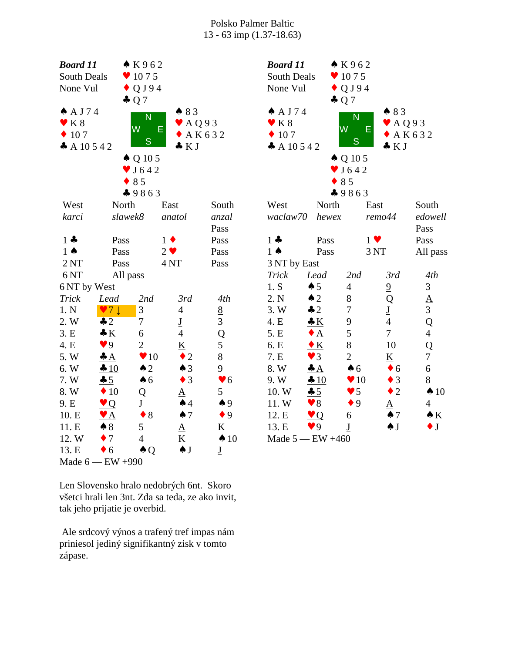| <b>Board 11</b>             |                        | K962                           |                            |                          | <b>Board 11</b>               |                            | K962                       |                            |                  |  |
|-----------------------------|------------------------|--------------------------------|----------------------------|--------------------------|-------------------------------|----------------------------|----------------------------|----------------------------|------------------|--|
| South Deals                 |                        | $\bullet$ 1075                 |                            |                          | South Deals<br>$\bullet$ 1075 |                            |                            |                            |                  |  |
| None Vul                    |                        | $\bullet$ QJ94                 |                            |                          |                               | $\bullet$ QJ94<br>None Vul |                            |                            |                  |  |
|                             |                        | $\clubsuit$ Q 7                |                            |                          |                               |                            | $\clubsuit$ Q 7            |                            |                  |  |
| A J74                       |                        | $\bullet$ 83<br>$\overline{N}$ |                            |                          | A J74                         |                            | N                          | 483                        |                  |  |
| $\mathbf{V}$ K 8            |                        | E<br>W                         | $\blacktriangleright$ AQ93 |                          | $\mathbf{V}$ K 8              |                            | W<br>E                     | $\blacktriangleright$ AQ93 |                  |  |
| $\div 107$<br>$+AK632$<br>S |                        |                                |                            | $\div 107$               |                               | ${\mathsf S}$              |                            | A K 6 3 2                  |                  |  |
| A 10 5 4 2                  |                        |                                | $\bullet$ K J              |                          | A 10 5 4 2                    |                            |                            | $\bullet KJ$               |                  |  |
|                             |                        | $\triangle$ Q 10 5             |                            |                          |                               |                            | $\triangle$ Q 10 5         |                            |                  |  |
|                             |                        | $\blacktriangledown$ J 642     |                            |                          |                               |                            | $\blacktriangledown$ J 642 |                            |                  |  |
|                             |                        | $\bullet$ 85                   |                            |                          |                               |                            | $\bullet$ 85               |                            |                  |  |
|                             |                        | 49863                          |                            |                          |                               |                            | 49863                      |                            |                  |  |
| West                        | North                  |                                | East                       | South                    | West                          | North                      |                            | East                       | South            |  |
| karci                       |                        | slawek8                        | anatol                     | anzal                    | waclaw70                      | hewex                      |                            | remo44                     | edowell          |  |
|                             |                        |                                |                            | Pass                     |                               |                            |                            |                            | Pass             |  |
| $1 -$                       | Pass                   |                                | $1 \bullet$                | Pass                     | $1 -$                         | Pass                       |                            | $1 \vee$                   | Pass             |  |
| $1 \spadesuit$              | Pass                   |                                | $2 \vee$                   | Pass                     | $1 \spadesuit$                | Pass                       |                            | 3 <sub>NT</sub>            | All pass         |  |
| 2NT                         | Pass                   |                                | 4 <sub>NT</sub>            | Pass                     | 3 NT by East                  |                            |                            |                            |                  |  |
| 6 <sub>NT</sub>             | All pass               |                                |                            |                          | <b>Trick</b>                  | Lead                       | 2nd                        | 3rd                        | 4th              |  |
| 6 NT by West                |                        |                                |                            |                          | 1. S                          | $\spadesuit$ 5             | $\overline{4}$             | $\overline{6}$             | $\mathfrak{Z}$   |  |
| Trick                       | Lead                   | 2nd                            | 3rd                        | 4th                      | 2. N                          | $\triangle$ 2              | $8\,$                      | Q                          | $rac{A}{3}$      |  |
| 1. N                        | $\vee 7 \downarrow$    | 3                              | $\overline{4}$             | $\underline{8}$          | 3.W                           | $\clubsuit$ 2              | $\boldsymbol{7}$           | $\underline{\mathbf{J}}$   |                  |  |
| 2. W                        | $\clubsuit$ 2          | $\overline{7}$                 | $\underline{\mathbf{J}}$   | $\overline{3}$           | 4. E                          | K                          | $\mathbf{9}$               | $\overline{4}$             | $\overline{Q}$   |  |
| 3.E                         | $\bullet K$            | 6                              | $\overline{4}$             | Q                        | 5. E                          | $\bullet$ A                | 5                          | $\overline{7}$             | $\overline{4}$   |  |
| 4. E                        | $\blacktriangledown$ 9 | $\overline{2}$                 | $\underline{K}$            | $\mathfrak{S}$           | 6. E                          | $\underline{\bullet K}$    | $8\,$                      | 10                         | Q                |  |
| 5. W                        | $\triangleq A$         | $\blacktriangledown 10$        | $\bullet$ 2                | $8\,$                    | 7. E                          | $\blacktriangledown$ 3     | $\overline{2}$             | $\underline{\mathbf{K}}$   | $\overline{7}$   |  |
| 6. W                        | $-10$                  | $\triangle$ 2                  | $\spadesuit$ 3             | 9                        | 8. W                          | $\triangleq A$             | $\clubsuit$ 6              | $\bullet$ 6                | $\boldsymbol{6}$ |  |
| 7. W                        | 45                     | $\spadesuit$ 6                 | $\bullet$ 3                | $\blacktriangledown 6$   | 9.W                           | 10                         | $\blacktriangledown$ 10    | $\bullet$ 3                | 8                |  |
| 8. W                        | $\div 10$              | Q                              | $\underline{A}$            | 5 <sup>5</sup>           | 10. W                         | 45                         | $\blacktriangledown$ 5     | $\bullet$ 2                | $\spadesuit$ 10  |  |
| 9. E                        | $\vee$ Q               | J                              | $\spadesuit$ 4             | $\spadesuit$ 9           | 11.W                          | $\blacktriangledown 8$     | $\bullet$ 9                | $\underline{A}$            | $\overline{4}$   |  |
| 10. E                       | $\bullet$ A            | $\bullet$ 8                    | $\spadesuit$ 7             | $\bullet$ 9              | 12. E                         | Q                          | 6                          | $\spadesuit$ 7             | $\bullet K$      |  |
| 11. E                       | $\clubsuit 8$          | $5\overline{)}$                | $\underline{A}$            | K                        | 13. E                         | $\blacktriangledown$ 9     | $\underline{\mathbf{J}}$   | $\spadesuit$ J             | $\bullet$ J      |  |
| 12. W                       | $\bullet$ 7            | $\overline{4}$                 | $\underline{\mathbf{K}}$   | $\spadesuit$ 10          |                               | Made $5$ - EW $+460$       |                            |                            |                  |  |
| 13. E                       | $\bullet$ 6            | $\triangle Q$                  | $\clubsuit$ J              | $\underline{\mathbf{J}}$ |                               |                            |                            |                            |                  |  |
|                             | Made 6 - EW +990       |                                |                            |                          |                               |                            |                            |                            |                  |  |

Len Slovensko hralo nedobrých 6nt. Skoro všetci hrali len 3nt. Zda sa teda, ze ako invit, tak jeho prijatie je overbid.

 Ale srdcový výnos a trafený tref impas nám priniesol jediný signifikantný zisk v tomto zápase.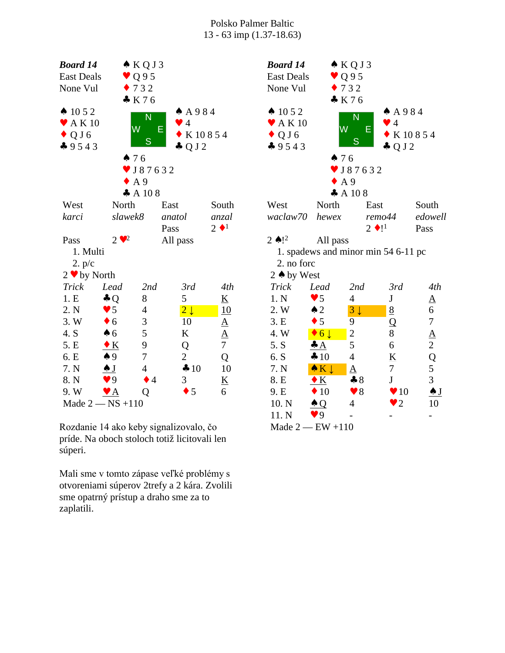| <b>Board 14</b><br><b>East Deals</b><br>None Vul                                |                                           | $\triangle KQJ3$<br>$\bullet$ Q 9 5<br>$\bullet$ 732 |                                                                |                          | Boo<br>Eas<br>No                                                       |
|---------------------------------------------------------------------------------|-------------------------------------------|------------------------------------------------------|----------------------------------------------------------------|--------------------------|------------------------------------------------------------------------|
| $\spadesuit$ 10 5 2<br>$\blacktriangleright$ AK10<br>$\bullet$ Q J 6<br>$-9543$ |                                           | K76<br>N<br>W<br>Е<br>S<br>476                       | A 984<br>$\bullet$ 4<br>$\bullet$ K 10854<br>$\clubsuit$ Q J 2 |                          | $\spadesuit$ ]<br>$\bullet$<br>$\overline{\mathcal{L}}$<br>$\clubsuit$ |
|                                                                                 |                                           | $\triangledown$ J 8 7 6 3 2<br>$\bullet$ A 9<br>A108 |                                                                |                          |                                                                        |
| West                                                                            | North                                     |                                                      | East                                                           | South                    | We                                                                     |
| karci                                                                           | slawek8                                   |                                                      | anatol<br>Pass                                                 | anzal<br>$2 \cdot 1$     | wa                                                                     |
| Pass                                                                            | $2 \cdot \cdot$ <sup>2</sup>              |                                                      | All pass                                                       |                          | $2 \triangle$                                                          |
| 1. Multi                                                                        |                                           |                                                      |                                                                |                          | $\mathbf{1}$                                                           |
| 2. p/c                                                                          |                                           |                                                      |                                                                |                          | $\overline{2}$                                                         |
| $2 \cdot by North$                                                              |                                           |                                                      |                                                                |                          | 2 <sub>0</sub>                                                         |
| <b>Trick</b>                                                                    | Lead                                      | 2nd                                                  | 3rd                                                            | 4th                      | Tr                                                                     |
| 1.E                                                                             | $\clubsuit$ Q                             | 8                                                    | 5                                                              | $\underline{\mathbf{K}}$ | 1.                                                                     |
| 2. N                                                                            | $\bullet$ 5                               | $\overline{4}$                                       | $\overline{2}\downarrow$                                       | 10                       | 2.                                                                     |
| 3. W                                                                            | $\bullet$ 6                               | 3                                                    | 10                                                             | <u>A</u>                 | 3.1                                                                    |
| 4. S                                                                            | $\clubsuit$ 6                             | 5                                                    | K                                                              | $\underline{A}$          | 4.                                                                     |
| 5. E                                                                            | $\bullet K$                               | 9                                                    | Q                                                              | $\overline{7}$           | 5.                                                                     |
| 6. E                                                                            | $\spadesuit$ 9                            | 7                                                    | $\overline{2}$                                                 | Q                        | 6.                                                                     |
| 7. N                                                                            | $\overline{\bullet}$ $\overline{\bullet}$ | $\overline{4}$                                       | $\clubsuit 10$                                                 | 10                       | 7.1                                                                    |
| 8. N                                                                            | $\blacktriangledown$ 9                    | $\bullet$ 4                                          | 3                                                              | $\underline{\mathbf{K}}$ | 8.1                                                                    |
| 9. W                                                                            | $\mathbf{Y}$ $\mathbf{A}$                 | Q                                                    | $\bullet$ 5                                                    | 6                        | 9.1                                                                    |
|                                                                                 | Made $2 - NS + 110$                       |                                                      |                                                                |                          | 10                                                                     |

Rozdanie 14 ako keby signalizovalo, čo príde. Na oboch stoloch totiž licitovali len súperi.

Mali sme v tomto zápase veľké problémy s otvoreniami súperov 2trefy a 2 kára. Zvolili sme opatrný prístup a draho sme za to zaplatili.

| <b>Board 14</b>            |                          | $\triangle$ KQJ3                    |                          |                |
|----------------------------|--------------------------|-------------------------------------|--------------------------|----------------|
| <b>East Deals</b>          |                          | $\vee$ Q95                          |                          |                |
| None Vul                   |                          | $\bullet$ 732                       |                          |                |
|                            |                          | K76                                 |                          |                |
| $\triangle$ 10 5 2         |                          |                                     | A 984                    |                |
| $\blacktriangleright$ AK10 |                          | N                                   | $\bullet$ 4              |                |
| $\bullet$ Q J 6            | $\overline{\mathsf{W}}$  | Е                                   | K 10854                  |                |
| $-9543$                    |                          | S                                   | $\clubsuit$ Q J 2        |                |
|                            | 476                      |                                     |                          |                |
|                            |                          | $\bullet$ J87632                    |                          |                |
|                            | $\bullet$ A 9            |                                     |                          |                |
|                            |                          | $\clubsuit$ A 10 8                  |                          |                |
| West                       | North                    | East                                |                          | South          |
| waclaw70                   | hewex                    | remo44                              |                          | edowell        |
|                            |                          | $2 \bullet 1^1$                     |                          | Pass           |
| 2 $\bullet$ ! <sup>2</sup> | All pass                 |                                     |                          |                |
|                            |                          | 1. spadews and minor min 54 6-11 pc |                          |                |
| 2. no forc                 |                          |                                     |                          |                |
| 2 ♦ by West                |                          |                                     |                          |                |
| <b>Trick</b>               | Lead                     | 2nd                                 | 3rd                      | 4th            |
| 1. N                       | $\blacktriangledown$ 5   | 4                                   | ${\bf J}$                | <u>A</u>       |
| 2. W                       | $\triangle$ 2            | $3\downarrow$                       | 8                        | 6              |
| 3. E                       | $\bullet$ 5              | 9                                   | Q                        | $\overline{7}$ |
| 4. W                       | $\bullet$ 6 $\downarrow$ | $\overline{c}$                      | 8                        |                |
| 5. S                       | $\clubsuit A$            | 5                                   | 6                        | $rac{A}{2}$    |
| 6. S                       | $\clubsuit 10$           | 4                                   | $\underline{\mathbf{K}}$ | $\frac{Q}{5}$  |
| 7. N                       | $\bullet K \downarrow$   | ${\underline{\rm A}}$               | $\tau$                   |                |
| 8. E                       | $\bullet K$              | $\clubsuit 8$                       | $\mathbf{J}$             | $\overline{3}$ |
| 9. E                       | 10                       | $\blacktriangledown 8$              | $\blacktriangledown 10$  | <u>∱ J</u>     |
| 10. N                      | $\triangle Q$            | 4                                   | $\bullet$ 2              | 10             |
| 11. N                      | $\blacktriangledown$ 9   |                                     |                          |                |
| Made $2$ - EW +110         |                          |                                     |                          |                |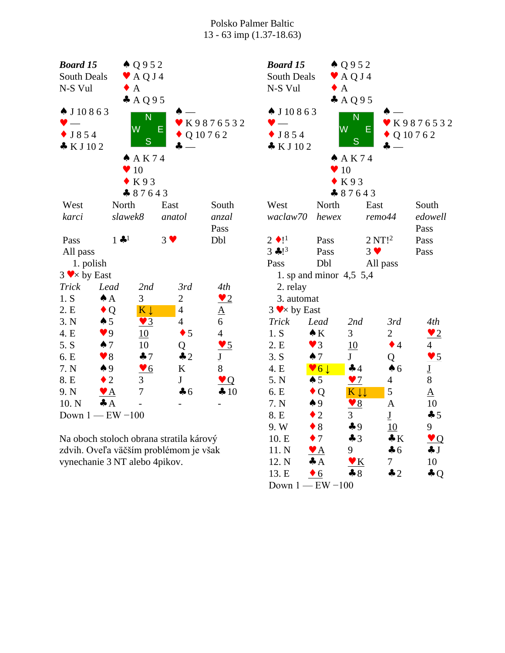| <b>Board 15</b><br>$\triangle Q952$                 |                               |                         |                                                  |                          | <b>Board 15</b>          |                           | $\triangle Q952$           |                          |                          |
|-----------------------------------------------------|-------------------------------|-------------------------|--------------------------------------------------|--------------------------|--------------------------|---------------------------|----------------------------|--------------------------|--------------------------|
| South Deals<br>$\blacktriangleright$ AQJ4           |                               |                         | <b>South Deals</b><br>$\blacktriangleright$ AQJ4 |                          |                          |                           |                            |                          |                          |
|                                                     | N-S Vul<br>$\bullet$ A        |                         |                                                  |                          | N-S Vul                  | $\bullet$ A               |                            |                          |                          |
|                                                     |                               | A Q 9 5                 |                                                  |                          |                          |                           | A Q 9 5                    |                          |                          |
| $\spadesuit$ J 10 8 6 3                             |                               | N                       |                                                  |                          | $\spadesuit$ J 10 8 6 3  |                           | N                          |                          |                          |
|                                                     |                               | W                       | Ε                                                | ▼ K9876532               | $\blacktriangledown$ $-$ | W                         | E                          |                          | ₩K9876532                |
| $\bullet$ J854                                      |                               | S                       |                                                  | $\bullet$ Q 10 7 6 2     | $\bullet$ J854           |                           | ${\mathbb S}$              |                          | $\bullet$ Q 10 7 6 2     |
| KJ102                                               |                               |                         | $\clubsuit$ $-$                                  |                          | $\bullet$ KJ102          |                           |                            | $\clubsuit$ $-$          |                          |
|                                                     |                               | A K 74                  |                                                  |                          |                          |                           | A K 74                     |                          |                          |
|                                                     |                               | $\blacktriangledown 10$ |                                                  |                          |                          | $\blacktriangledown 10$   |                            |                          |                          |
|                                                     |                               | $\bullet$ K93           |                                                  |                          |                          |                           | $\bullet$ K93              |                          |                          |
|                                                     |                               | 87643                   |                                                  |                          |                          |                           | 87643                      |                          |                          |
| West                                                | North                         |                         | East                                             | South                    | West                     | North                     | East                       |                          | South                    |
| karci                                               | slawek8                       |                         | anatol                                           | anzal                    | waclaw70                 | hewex                     |                            | remo44                   | edowell                  |
|                                                     | $1$ $\clubsuit$ <sup>1</sup>  |                         | $3 \vee$                                         | Pass<br>Dbl              | $2 \bullet !^1$          |                           |                            |                          | Pass                     |
| Pass                                                |                               |                         |                                                  |                          | $3 \cdot 1^3$            | Pass<br>Pass              | $3 \vee$                   | 2 NT! <sup>2</sup>       | Pass<br>Pass             |
| All pass<br>1. polish                               |                               |                         |                                                  |                          | Pass                     | Dbl                       |                            |                          |                          |
| $3 \blacktriangleright \blacktriangleright$ by East |                               |                         |                                                  |                          |                          | 1. sp and minor $4,5,5,4$ |                            | All pass                 |                          |
| <b>Trick</b>                                        | Lead                          | 2nd                     | 3rd                                              | 4th                      | 2. relay                 |                           |                            |                          |                          |
| 1. S                                                | $\spadesuit$ A                | 3                       | $\mathbf{2}$                                     | $\frac{1}{2}$            | 3. automat               |                           |                            |                          |                          |
| 2. E                                                | $\bullet$ Q                   | $K \downarrow$          | $\overline{4}$                                   | $\underline{A}$          | $3 \vee \times$ by East  |                           |                            |                          |                          |
| 3. N                                                | $\spadesuit 5$                | $\underline{\bullet 3}$ | $\overline{4}$                                   | 6                        | <b>Trick</b>             | Lead                      | 2nd                        | 3rd                      | 4th                      |
| 4. E                                                | 9 <sup>q</sup>                | 10                      | $\bullet$ 5                                      | $\overline{4}$           | 1. S                     | $\bullet K$               | 3                          | $\mathbf{2}$             | $\frac{2}{2}$            |
| 5. S                                                | $\spadesuit$ 7                | 10                      | Q                                                | $\frac{95}{2}$           | 2. E                     | $\blacktriangledown$ 3    | 10                         | $\bullet$ 4              | $\overline{4}$           |
| 6. E                                                | $\blacktriangledown 8$        | $\clubsuit$ 7           | $\clubsuit$ 2                                    | $\underline{\mathbf{J}}$ | 3. S                     | $\spadesuit$ 7            | $\mathbf{J}$               | Q                        | $\underline{\bullet 5}$  |
| 7. N                                                | $\spadesuit$ 9                | $\underline{\bullet 6}$ | ${\bf K}$                                        | 8                        | 4. E                     | $\sqrt{6}$                | $\clubsuit$ 4              | $\clubsuit$ 6            | $\underline{\mathbf{J}}$ |
| 8. E                                                | $\bullet$ 2                   | 3                       | $\bf J$                                          | $\vee Q$                 | 5. N                     | $\spadesuit 5$            | $\frac{97}{2}$             | $\overline{4}$           | $8\,$                    |
| 9. N                                                | $\bullet$ A                   | $\overline{7}$          | $\clubsuit$ 6                                    | 410                      | 6. E                     | $\bullet$ Q               | K \\                       | 5                        | $\underline{A}$          |
| 10. N                                               | $\clubsuit$ $A$               |                         |                                                  |                          | 7. N                     | $\spadesuit$ 9            | $\sqrt{8}$                 | $\mathbf{A}$             | 10                       |
|                                                     | Down $1$ - EW $-100$          |                         |                                                  |                          | 8. E                     | $\bullet$ 2               | 3                          | $\underline{\mathbf{J}}$ | 45                       |
|                                                     |                               |                         |                                                  |                          | 9.W                      | $\bullet$ 8               | $\clubsuit$ 9              | 10                       | 9                        |
|                                                     |                               |                         | Na oboch stoloch obrana stratila kárový          |                          | 10. E                    | $\bullet$ 7               | $\clubsuit$ 3              | $\clubsuit K$            | $\mathbf{V}$             |
|                                                     |                               |                         | zdvih. Oveľa väčším problémom je však            |                          | 11. N                    | $\bullet$ A               | 9                          | $\clubsuit$ 6            | $\clubsuit$ J            |
|                                                     | vynechanie 3 NT alebo 4pikov. |                         |                                                  |                          | 12. N                    | $\clubsuit$ $A$           | $\underline{\mathbf{v}}$ K | $\tau$                   | 10                       |
|                                                     |                               |                         |                                                  |                          | 13. E                    | $\bullet$ 6               | $-8$                       | $\clubsuit$ 2            | $\clubsuit Q$            |

Down 1 — EW −100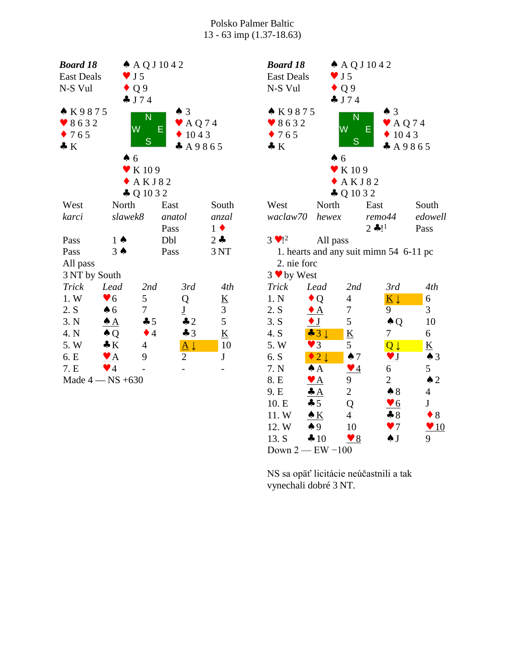| <b>Board 18</b>     |                           | $\triangle$ AQJ1042        |                            |                          |                          |  |  |  |
|---------------------|---------------------------|----------------------------|----------------------------|--------------------------|--------------------------|--|--|--|
| <b>East Deals</b>   |                           | $\bullet$ J5               |                            |                          | Eas                      |  |  |  |
| N-S Vul             |                           | $\bullet$ Q 9              |                            |                          | $N-S$                    |  |  |  |
|                     |                           | J74                        |                            |                          |                          |  |  |  |
| ▲ K9875             |                           |                            | $\spadesuit$ 3             |                          | $\bullet$ I              |  |  |  |
| 8632                |                           | N                          | $\blacktriangleright$ AQ74 |                          | $\bullet$ {              |  |  |  |
| $\bullet$ 765       |                           | W                          | E<br>$\bullet$ 1043        |                          | $\overline{\phantom{a}}$ |  |  |  |
| $\clubsuit K$       |                           | S                          | A9865                      |                          | $\clubsuit$ ]            |  |  |  |
|                     | $\spadesuit$ 6            |                            |                            |                          |                          |  |  |  |
|                     |                           | $\blacktriangledown$ K 109 |                            |                          |                          |  |  |  |
|                     |                           | A K J 82                   |                            |                          |                          |  |  |  |
|                     |                           | $\clubsuit$ Q 10 3 2       |                            |                          |                          |  |  |  |
| West                | North                     |                            | East                       | South                    | We                       |  |  |  |
| karci               | slawek8                   |                            | anatol                     | anzal                    | wa                       |  |  |  |
|                     |                           |                            | Pass                       | $1 \bullet$              |                          |  |  |  |
| Pass                | $1 \spadesuit$            |                            | Dbl                        | $2 -$                    | $3 \vee$                 |  |  |  |
| Pass                | $3 \spadesuit$            |                            | Pass                       | 3 NT                     | $\mathbf{1}$             |  |  |  |
| All pass            |                           |                            |                            |                          | $\overline{2}$           |  |  |  |
| 3 NT by South       |                           |                            |                            |                          | $3 \vee$                 |  |  |  |
| <b>Trick</b>        | Lead                      | 2nd                        | 3rd                        | 4th                      | Tri                      |  |  |  |
| 1. W                | $\blacktriangledown 6$    | 5                          | Q                          | $\underline{\mathbf{K}}$ | $1. \Gamma$              |  |  |  |
| 2. S                | $\clubsuit$ 6             | 7                          | $\underline{\mathbf{J}}$   | 3                        | 2.5                      |  |  |  |
| 3. N                | $\triangle A$             | $\clubsuit 5$              | $\clubsuit$ 2              | 5                        | 3.5                      |  |  |  |
| 4. N                | $\triangle Q$             | $\bullet$ 4                | $\clubsuit$ 3              | $\underline{\mathbf{K}}$ | 4. S                     |  |  |  |
| 5. W                | $\bullet K$               | $\overline{4}$             | $\underline{A}\downarrow$  | 10                       | $5. \mathrm{V}$          |  |  |  |
| 6. E                | $\mathbf{Y}$ $\mathbf{A}$ | 9                          | $\overline{c}$             | J                        | 6.5                      |  |  |  |
| 7.E                 | $\blacktriangledown$ 4    |                            |                            |                          | $7. \Gamma$              |  |  |  |
| Made $4 - NS + 630$ |                           |                            |                            |                          | 8. E                     |  |  |  |

| <b>Board 18</b>                   |                            |                            | $\triangle$ AQJ 1042                              |                         |  |  |
|-----------------------------------|----------------------------|----------------------------|---------------------------------------------------|-------------------------|--|--|
| <b>East Deals</b>                 |                            | $\bullet$ J5               |                                                   |                         |  |  |
| N-S Vul                           |                            | $\bullet$ Q 9              |                                                   |                         |  |  |
|                                   |                            | J74                        |                                                   |                         |  |  |
| ▲ K9875                           |                            | N                          | $\spadesuit$ 3                                    |                         |  |  |
| 8632                              |                            | W                          | $\blacktriangleright$ AQ74<br>Е                   |                         |  |  |
| $\bullet$ 765                     |                            | S                          | $\bullet$ 1043                                    |                         |  |  |
| $\bullet K$                       |                            |                            |                                                   | A9865                   |  |  |
|                                   | $\spadesuit$ 6             |                            |                                                   |                         |  |  |
|                                   |                            | $\blacktriangledown$ K 109 |                                                   |                         |  |  |
|                                   |                            | <b>AKJ82</b>               |                                                   |                         |  |  |
|                                   |                            | $\clubsuit$ Q 10 3 2       |                                                   |                         |  |  |
| West                              | North                      |                            | East                                              | South                   |  |  |
| waclaw70                          | hewex                      |                            | remo44                                            | edowell                 |  |  |
|                                   |                            |                            | $2 * !1$                                          | Pass                    |  |  |
| $3 \cdot 1^2$                     | All pass                   |                            |                                                   |                         |  |  |
|                                   |                            |                            | 1. hearts and any suit mimn 54 6-11 pc            |                         |  |  |
| 2. nie forc                       |                            |                            |                                                   |                         |  |  |
| $3 \cdot by West$<br><b>Trick</b> | Lead                       | 2nd                        | 3rd                                               | 4th                     |  |  |
| 1. N                              | Q                          | 4                          | $\overline{K}\downarrow$                          | 6                       |  |  |
| 2. S                              | $\bullet$ A                | 7                          | 9                                                 | 3                       |  |  |
| 3. S                              | $\bullet$ J                | 5                          | $\clubsuit$ Q                                     | 10                      |  |  |
| 4. S                              | $\clubsuit$ 3 $\downarrow$ | $\underline{\mathbf{K}}$   | 7                                                 | 6                       |  |  |
| 5. W                              | 3<br>Y                     | 5                          | $Q \downarrow$                                    | <u>K</u>                |  |  |
| 6. S                              | $\bullet$ 2 $\downarrow$   | $\spadesuit$ 7             | $\underline{\mathbf{v}}$ $\underline{\mathbf{J}}$ | $\triangle$ 3           |  |  |
| 7. N                              | $\clubsuit$ $A$            | $\blacktriangledown$ 4     | 6                                                 | 5                       |  |  |
| 8. E                              | $\bullet$ $\overline{A}$   | 9                          | $\overline{2}$                                    | $\triangle$ 2           |  |  |
| 9. E                              | $\clubsuit$ $A$            | $\overline{c}$             | $\clubsuit 8$                                     | $\overline{4}$          |  |  |
| 10. E                             | $\clubsuit 5$              | Q                          | $\bullet$ 6                                       | $\bf J$                 |  |  |
| 11.W                              | $\triangle K$              | $\overline{4}$             | $\clubsuit 8$                                     | $\bullet$ 8             |  |  |
| 12. W                             | $\clubsuit 9$              | 10                         | $\bullet$ 7                                       | $\blacktriangledown 10$ |  |  |
| 13. S $\clubsuit$ 10              |                            | $\blacktriangledown 8$     | $\clubsuit$ J                                     | 9                       |  |  |
| Down $2 - EW - 100$               |                            |                            |                                                   |                         |  |  |
|                                   |                            |                            |                                                   |                         |  |  |
|                                   |                            |                            | NS sa opäť licitácie neúčastnili a tak            |                         |  |  |
| vynechali dobré 3 NT.             |                            |                            |                                                   |                         |  |  |
|                                   |                            |                            |                                                   |                         |  |  |